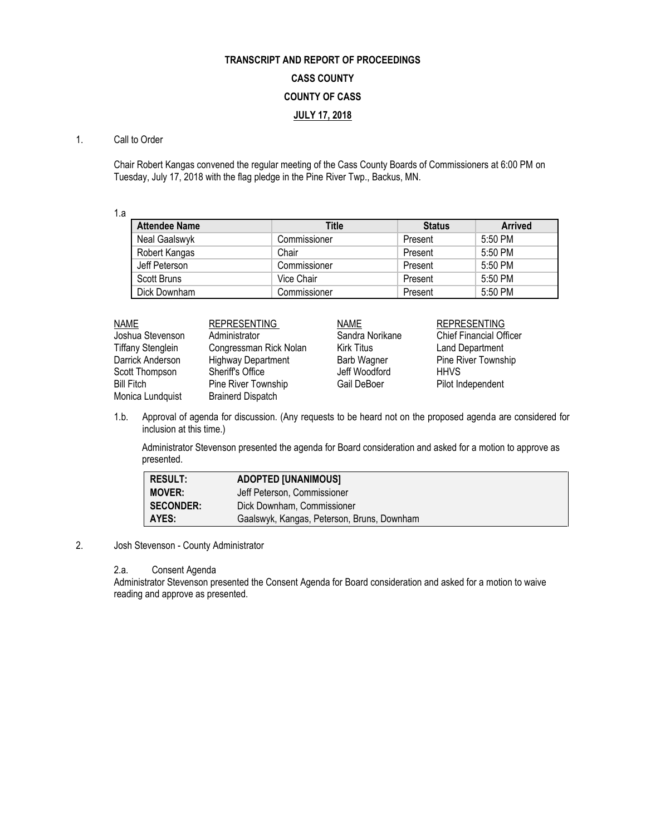# **TRANSCRIPT AND REPORT OF PROCEEDINGS CASS COUNTY COUNTY OF CASS JULY 17, 2018**

## 1. Call to Order

Chair Robert Kangas convened the regular meeting of the Cass County Boards of Commissioners at 6:00 PM on Tuesday, July 17, 2018 with the flag pledge in the Pine River Twp., Backus, MN.

1.a

| <b>Attendee Name</b> | Title        | <b>Status</b> | <b>Arrived</b> |
|----------------------|--------------|---------------|----------------|
| Neal Gaalswyk        | Commissioner | Present       | $5:50$ PM      |
| Robert Kangas        | Chair        | Present       | 5:50 PM        |
| Jeff Peterson        | Commissioner | Present       | 5:50 PM        |
| Scott Bruns          | Vice Chair   | Present       | 5:50 PM        |
| Dick Downham         | Commissioner | Present       | 5:50 PM        |

| <b>NAME</b>              | <b>REPRESENTING</b>       | <b>NAME</b>        | <b>REPRESENTING</b>            |
|--------------------------|---------------------------|--------------------|--------------------------------|
| Joshua Stevenson         | Administrator             | Sandra Norikane    | <b>Chief Financial Officer</b> |
| <b>Tiffany Stenglein</b> | Congressman Rick Nolan    | Kirk Titus         | Land Department                |
| Darrick Anderson         | <b>Highway Department</b> | <b>Barb Wagner</b> | Pine River Township            |
| Scott Thompson           | Sheriff's Office          | Jeff Woodford      | <b>HHVS</b>                    |
| <b>Bill Fitch</b>        | Pine River Township       | Gail DeBoer        | Pilot Independent              |
| Monica Lundquist         | <b>Brainerd Dispatch</b>  |                    |                                |

1.b. Approval of agenda for discussion. (Any requests to be heard not on the proposed agenda are considered for inclusion at this time.)

Administrator Stevenson presented the agenda for Board consideration and asked for a motion to approve as presented.

| RESULT:       | <b>ADOPTED [UNANIMOUS]</b>                 |
|---------------|--------------------------------------------|
| <b>MOVER:</b> | Jeff Peterson, Commissioner                |
| SECONDER:     | Dick Downham, Commissioner                 |
| AYES:         | Gaalswyk, Kangas, Peterson, Bruns, Downham |

# 2. Josh Stevenson - County Administrator

# 2.a. Consent Agenda

Administrator Stevenson presented the Consent Agenda for Board consideration and asked for a motion to waive reading and approve as presented.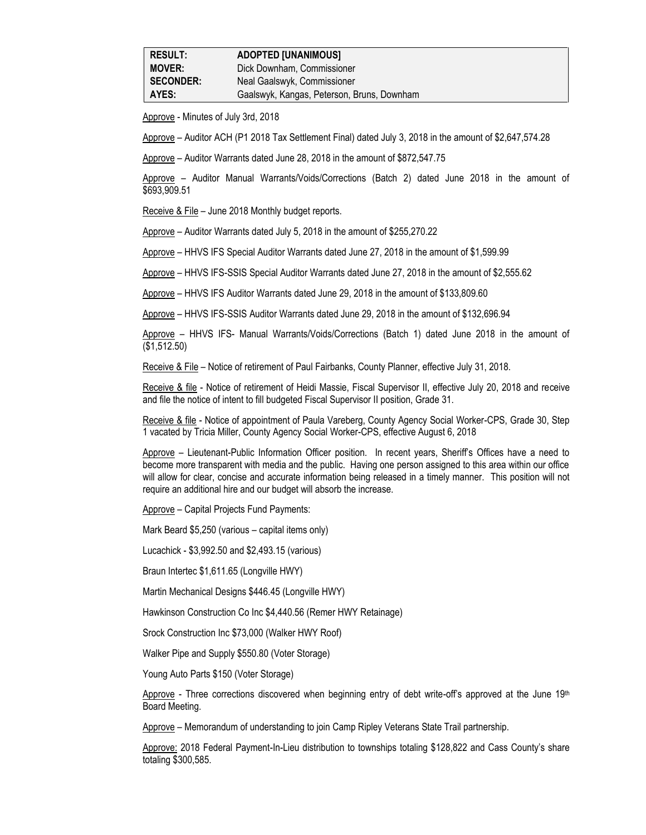Approve - Minutes of July 3rd, 2018

Approve – Auditor ACH (P1 2018 Tax Settlement Final) dated July 3, 2018 in the amount of \$2,647,574.28

Approve – Auditor Warrants dated June 28, 2018 in the amount of \$872,547.75

Approve – Auditor Manual Warrants/Voids/Corrections (Batch 2) dated June 2018 in the amount of \$693,909.51

Receive & File – June 2018 Monthly budget reports.

Approve – Auditor Warrants dated July 5, 2018 in the amount of \$255,270.22

Approve – HHVS IFS Special Auditor Warrants dated June 27, 2018 in the amount of \$1,599.99

Approve – HHVS IFS-SSIS Special Auditor Warrants dated June 27, 2018 in the amount of \$2,555.62

Approve – HHVS IFS Auditor Warrants dated June 29, 2018 in the amount of \$133,809.60

Approve – HHVS IFS-SSIS Auditor Warrants dated June 29, 2018 in the amount of \$132,696.94

Approve – HHVS IFS- Manual Warrants/Voids/Corrections (Batch 1) dated June 2018 in the amount of (\$1,512.50)

Receive & File – Notice of retirement of Paul Fairbanks, County Planner, effective July 31, 2018.

Receive & file - Notice of retirement of Heidi Massie, Fiscal Supervisor II, effective July 20, 2018 and receive and file the notice of intent to fill budgeted Fiscal Supervisor II position, Grade 31.

Receive & file - Notice of appointment of Paula Vareberg, County Agency Social Worker-CPS, Grade 30, Step 1 vacated by Tricia Miller, County Agency Social Worker-CPS, effective August 6, 2018

Approve – Lieutenant-Public Information Officer position. In recent years, Sheriff's Offices have a need to become more transparent with media and the public. Having one person assigned to this area within our office will allow for clear, concise and accurate information being released in a timely manner. This position will not require an additional hire and our budget will absorb the increase.

Approve – Capital Projects Fund Payments:

Mark Beard \$5,250 (various – capital items only)

Lucachick - \$3,992.50 and \$2,493.15 (various)

Braun Intertec \$1,611.65 (Longville HWY)

Martin Mechanical Designs \$446.45 (Longville HWY)

Hawkinson Construction Co Inc \$4,440.56 (Remer HWY Retainage)

Srock Construction Inc \$73,000 (Walker HWY Roof)

Walker Pipe and Supply \$550.80 (Voter Storage)

Young Auto Parts \$150 (Voter Storage)

Approve - Three corrections discovered when beginning entry of debt write-off's approved at the June  $19<sup>th</sup>$ Board Meeting.

Approve – Memorandum of understanding to join Camp Ripley Veterans State Trail partnership.

Approve: 2018 Federal Payment-In-Lieu distribution to townships totaling \$128,822 and Cass County's share totaling \$300,585.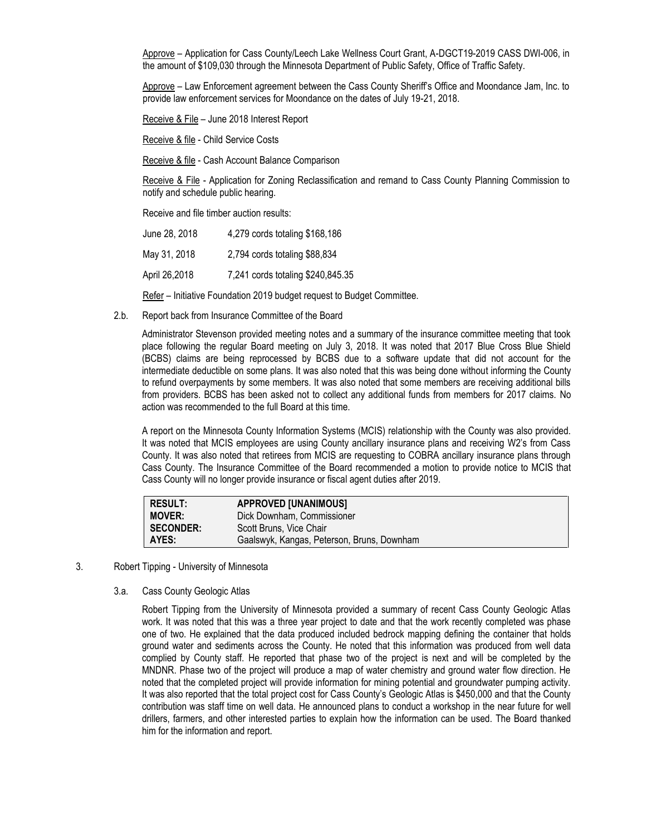Approve – Application for Cass County/Leech Lake Wellness Court Grant, A-DGCT19-2019 CASS DWI-006, in the amount of \$109,030 through the Minnesota Department of Public Safety, Office of Traffic Safety.

Approve – Law Enforcement agreement between the Cass County Sheriff's Office and Moondance Jam, Inc. to provide law enforcement services for Moondance on the dates of July 19-21, 2018.

Receive & File – June 2018 Interest Report

Receive & file - Child Service Costs

Receive & file - Cash Account Balance Comparison

Receive & File - Application for Zoning Reclassification and remand to Cass County Planning Commission to notify and schedule public hearing.

Receive and file timber auction results:

| June 28, 2018 | 4,279 cords totaling \$168,186    |
|---------------|-----------------------------------|
| May 31, 2018  | 2,794 cords totaling \$88,834     |
| April 26,2018 | 7,241 cords totaling \$240,845.35 |

Refer – Initiative Foundation 2019 budget request to Budget Committee.

2.b. Report back from Insurance Committee of the Board

Administrator Stevenson provided meeting notes and a summary of the insurance committee meeting that took place following the regular Board meeting on July 3, 2018. It was noted that 2017 Blue Cross Blue Shield (BCBS) claims are being reprocessed by BCBS due to a software update that did not account for the intermediate deductible on some plans. It was also noted that this was being done without informing the County to refund overpayments by some members. It was also noted that some members are receiving additional bills from providers. BCBS has been asked not to collect any additional funds from members for 2017 claims. No action was recommended to the full Board at this time.

A report on the Minnesota County Information Systems (MCIS) relationship with the County was also provided. It was noted that MCIS employees are using County ancillary insurance plans and receiving W2's from Cass County. It was also noted that retirees from MCIS are requesting to COBRA ancillary insurance plans through Cass County. The Insurance Committee of the Board recommended a motion to provide notice to MCIS that Cass County will no longer provide insurance or fiscal agent duties after 2019.

| <b>RESULT:</b>   | <b>APPROVED [UNANIMOUS]</b>                |
|------------------|--------------------------------------------|
| <b>MOVER:</b>    | Dick Downham, Commissioner                 |
| <b>SECONDER:</b> | Scott Bruns, Vice Chair                    |
| AYES:            | Gaalswyk, Kangas, Peterson, Bruns, Downham |

- 3. Robert Tipping University of Minnesota
	- 3.a. Cass County Geologic Atlas

Robert Tipping from the University of Minnesota provided a summary of recent Cass County Geologic Atlas work. It was noted that this was a three year project to date and that the work recently completed was phase one of two. He explained that the data produced included bedrock mapping defining the container that holds ground water and sediments across the County. He noted that this information was produced from well data complied by County staff. He reported that phase two of the project is next and will be completed by the MNDNR. Phase two of the project will produce a map of water chemistry and ground water flow direction. He noted that the completed project will provide information for mining potential and groundwater pumping activity. It was also reported that the total project cost for Cass County's Geologic Atlas is \$450,000 and that the County contribution was staff time on well data. He announced plans to conduct a workshop in the near future for well drillers, farmers, and other interested parties to explain how the information can be used. The Board thanked him for the information and report.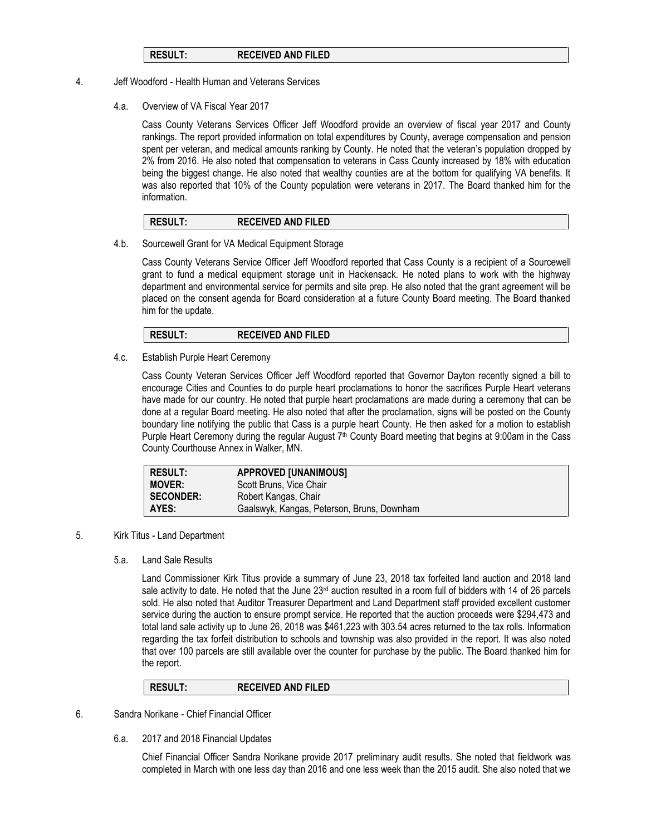## **RESULT: RECEIVED AND FILED**

- 4. Jeff Woodford Health Human and Veterans Services
	- 4.a. Overview of VA Fiscal Year 2017

Cass County Veterans Services Officer Jeff Woodford provide an overview of fiscal year 2017 and County rankings. The report provided information on total expenditures by County, average compensation and pension spent per veteran, and medical amounts ranking by County. He noted that the veteran's population dropped by 2% from 2016. He also noted that compensation to veterans in Cass County increased by 18% with education being the biggest change. He also noted that wealthy counties are at the bottom for qualifying VA benefits. It was also reported that 10% of the County population were veterans in 2017. The Board thanked him for the information.

### **RESULT: RECEIVED AND FILED**

4.b. Sourcewell Grant for VA Medical Equipment Storage

Cass County Veterans Service Officer Jeff Woodford reported that Cass County is a recipient of a Sourcewell grant to fund a medical equipment storage unit in Hackensack. He noted plans to work with the highway department and environmental service for permits and site prep. He also noted that the grant agreement will be placed on the consent agenda for Board consideration at a future County Board meeting. The Board thanked him for the update.

**RESULT: RECEIVED AND FILED**

4.c. Establish Purple Heart Ceremony

Cass County Veteran Services Officer Jeff Woodford reported that Governor Dayton recently signed a bill to encourage Cities and Counties to do purple heart proclamations to honor the sacrifices Purple Heart veterans have made for our country. He noted that purple heart proclamations are made during a ceremony that can be done at a regular Board meeting. He also noted that after the proclamation, signs will be posted on the County boundary line notifying the public that Cass is a purple heart County. He then asked for a motion to establish Purple Heart Ceremony during the regular August 7<sup>th</sup> County Board meeting that begins at 9:00am in the Cass County Courthouse Annex in Walker, MN.

| <b>RESULT:</b>   | <b>APPROVED [UNANIMOUS]</b>                |
|------------------|--------------------------------------------|
| <b>MOVER:</b>    | Scott Bruns, Vice Chair                    |
| <b>SECONDER:</b> | Robert Kangas, Chair                       |
| AYES:            | Gaalswyk, Kangas, Peterson, Bruns, Downham |

- 5. Kirk Titus Land Department
	- 5.a. Land Sale Results

Land Commissioner Kirk Titus provide a summary of June 23, 2018 tax forfeited land auction and 2018 land sale activity to date. He noted that the June  $23<sup>rd</sup>$  auction resulted in a room full of bidders with 14 of 26 parcels sold. He also noted that Auditor Treasurer Department and Land Department staff provided excellent customer service during the auction to ensure prompt service. He reported that the auction proceeds were \$294,473 and total land sale activity up to June 26, 2018 was \$461,223 with 303.54 acres returned to the tax rolls. Information regarding the tax forfeit distribution to schools and township was also provided in the report. It was also noted that over 100 parcels are still available over the counter for purchase by the public. The Board thanked him for the report.

| <b>RECEIVED AND FILED</b><br><b>RESULT:</b> |  |
|---------------------------------------------|--|
|---------------------------------------------|--|

- 6. Sandra Norikane Chief Financial Officer
	- 6.a. 2017 and 2018 Financial Updates

Chief Financial Officer Sandra Norikane provide 2017 preliminary audit results. She noted that fieldwork was completed in March with one less day than 2016 and one less week than the 2015 audit. She also noted that we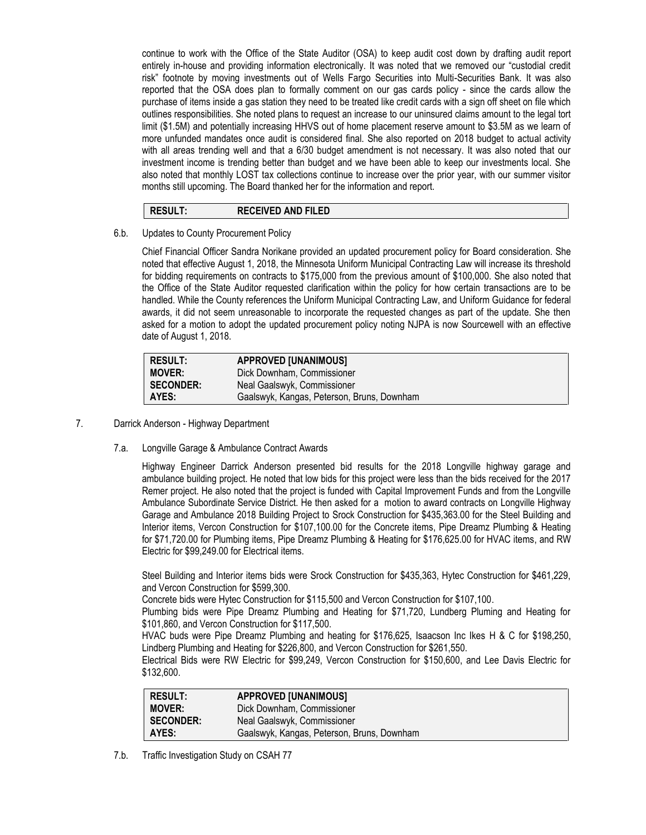continue to work with the Office of the State Auditor (OSA) to keep audit cost down by drafting audit report entirely in-house and providing information electronically. It was noted that we removed our "custodial credit risk" footnote by moving investments out of Wells Fargo Securities into Multi-Securities Bank. It was also reported that the OSA does plan to formally comment on our gas cards policy - since the cards allow the purchase of items inside a gas station they need to be treated like credit cards with a sign off sheet on file which outlines responsibilities. She noted plans to request an increase to our uninsured claims amount to the legal tort limit (\$1.5M) and potentially increasing HHVS out of home placement reserve amount to \$3.5M as we learn of more unfunded mandates once audit is considered final. She also reported on 2018 budget to actual activity with all areas trending well and that a 6/30 budget amendment is not necessary. It was also noted that our investment income is trending better than budget and we have been able to keep our investments local. She also noted that monthly LOST tax collections continue to increase over the prior year, with our summer visitor months still upcoming. The Board thanked her for the information and report.

# **RESULT: RECEIVED AND FILED**

6.b. Updates to County Procurement Policy

Chief Financial Officer Sandra Norikane provided an updated procurement policy for Board consideration. She noted that effective August 1, 2018, the Minnesota Uniform Municipal Contracting Law will increase its threshold for bidding requirements on contracts to \$175,000 from the previous amount of \$100,000. She also noted that the Office of the State Auditor requested clarification within the policy for how certain transactions are to be handled. While the County references the Uniform Municipal Contracting Law, and Uniform Guidance for federal awards, it did not seem unreasonable to incorporate the requested changes as part of the update. She then asked for a motion to adopt the updated procurement policy noting NJPA is now Sourcewell with an effective date of August 1, 2018.

| <b>RESULT:</b>   | <b>APPROVED [UNANIMOUS]</b>                |
|------------------|--------------------------------------------|
| <b>MOVER:</b>    | Dick Downham, Commissioner                 |
| <b>SECONDER:</b> | Neal Gaalswyk, Commissioner                |
| AYES:            | Gaalswyk, Kangas, Peterson, Bruns, Downham |

- 7. Darrick Anderson Highway Department
	- 7.a. Longville Garage & Ambulance Contract Awards

Highway Engineer Darrick Anderson presented bid results for the 2018 Longville highway garage and ambulance building project. He noted that low bids for this project were less than the bids received for the 2017 Remer project. He also noted that the project is funded with Capital Improvement Funds and from the Longville Ambulance Subordinate Service District. He then asked for a motion to award contracts on Longville Highway Garage and Ambulance 2018 Building Project to Srock Construction for \$435,363.00 for the Steel Building and Interior items, Vercon Construction for \$107,100.00 for the Concrete items, Pipe Dreamz Plumbing & Heating for \$71,720.00 for Plumbing items, Pipe Dreamz Plumbing & Heating for \$176,625.00 for HVAC items, and RW Electric for \$99,249.00 for Electrical items.

Steel Building and Interior items bids were Srock Construction for \$435,363, Hytec Construction for \$461,229, and Vercon Construction for \$599,300.

Concrete bids were Hytec Construction for \$115,500 and Vercon Construction for \$107,100.

Plumbing bids were Pipe Dreamz Plumbing and Heating for \$71,720, Lundberg Pluming and Heating for \$101,860, and Vercon Construction for \$117,500.

HVAC buds were Pipe Dreamz Plumbing and heating for \$176,625, Isaacson Inc Ikes H & C for \$198,250, Lindberg Plumbing and Heating for \$226,800, and Vercon Construction for \$261,550.

Electrical Bids were RW Electric for \$99,249, Vercon Construction for \$150,600, and Lee Davis Electric for \$132,600.

| <b>RESULT:</b>   | <b>APPROVED [UNANIMOUS]</b>                |
|------------------|--------------------------------------------|
| <b>MOVER:</b>    | Dick Downham, Commissioner                 |
| <b>SECONDER:</b> | Neal Gaalswyk, Commissioner                |
| AYES:            | Gaalswyk, Kangas, Peterson, Bruns, Downham |
|                  |                                            |

7.b. Traffic Investigation Study on CSAH 77